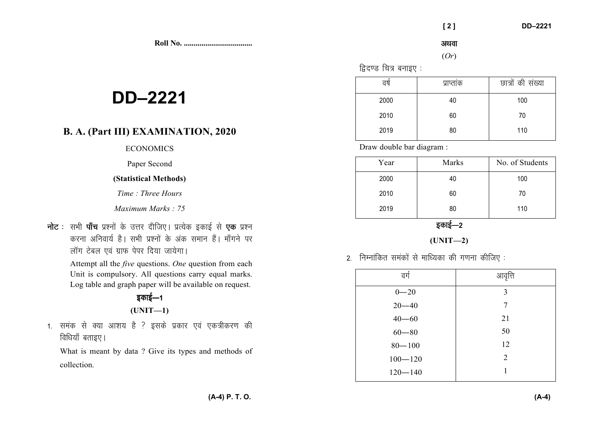**Roll No. ...................................** 

# **DD–2221**

## **B. A. (Part III) EXAMINATION, 2020**

## **ECONOMICS**

#### Paper Second

### **(Statistical Methods)**

*Time : Three Hours* 

*Maximum Marks : 75* 

**नोट** : सभी **पाँच** प्रश्नों के उत्तर दीजिए। प्रत्येक इकाई से एक प्रश्न करना अनिवार्य है। सभी प्रश्नों के अंक समान हैं। माँगने पर लॉग टेबल एवं ग्राफ पेपर दिया जायेगा।

> Attempt all the *five* questions. *One* question from each Unit is compulsory. All questions carry equal marks. Log table and graph paper will be available on request.

## डकाई—1 **(UNIT—1)**

1. समंक से क्या आशय है ? इसके प्रकार एवं एकत्रीकरण की विधियाँ बताइए।

What is meant by data ? Give its types and methods of collection.

अथवा

#### (*Or*)

 $\beta$ दिएड चित्र बनाइए $:$ 

| वर्ष | प्राप्ताक | छात्रों की संख्या |
|------|-----------|-------------------|
| 2000 | 40        | 100               |
| 2010 | 60        | 70                |
| 2019 | 80        | 110               |

Draw double bar diagram :

| Year | Marks | No. of Students |
|------|-------|-----------------|
| 2000 | 40    | 100             |
| 2010 | 60    | 70              |
| 2019 | 80    | 110             |

इकाई—2

**(UNIT—2)** 

 $2.$  निम्नांकित समंकों से माध्यिका की गणना कीजिए :

| वर्ग        | आवृत्ति        |
|-------------|----------------|
| $0 - 20$    | 3              |
| $20 - 40$   | 7              |
| $40 - 60$   | 21             |
| $60 - 80$   | 50             |
| $80 - 100$  | 12             |
| $100 - 120$ | $\overline{2}$ |
| $120 - 140$ |                |
|             |                |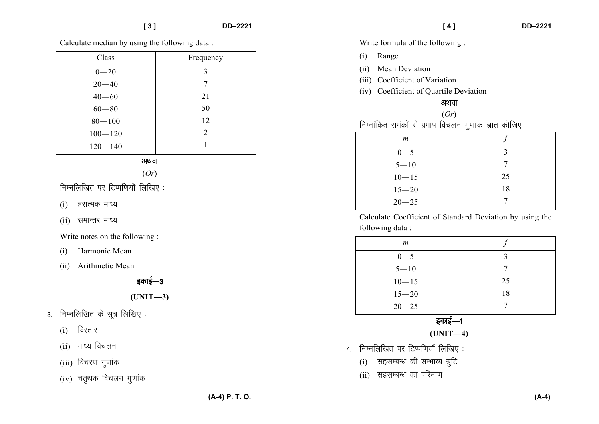Calculate median by using the following data :

| Class       | Frequency |
|-------------|-----------|
| $0 - 20$    | 3         |
| $20 - 40$   | 7         |
| $40 - 60$   | 21        |
| $60 - 80$   | 50        |
| $80 - 100$  | 12        |
| $100 - 120$ | 2         |
| $120 - 140$ |           |

#### अथवा

(*Or*)

निम्नलिखित पर टिप्पणियाँ लिखिए:

- $(i)$  हरात्मक माध्य
- $(ii)$  समान्तर माध्य

Write notes on the following :

- (i) Harmonic Mean
- (ii) Arithmetic Mean

## इकाई—3

## **(UNIT—3)**

- $3.$  निम्नलिखित के सूत्र लिखिए:
	- $(i)$  विस्तार
	- $(ii)$  माध्य विचलन
	- $(iii)$  विचरण गुणांक
	- $(iv)$  चतुर्थक विचलन गुणांक

Write formula of the following :

- (i) Range
- (ii) Mean Deviation
- (iii) Coefficient of Variation
- (iv) Coefficient of Quartile Deviation

#### अथवा

(*Or*) .<br>निम्नांकित समंकों से प्रमाप विचलन गुणांक ज्ञात कीजिए :

| $\boldsymbol{m}$ |    |
|------------------|----|
| $0 - 5$          | ζ  |
| $5 - 10$         |    |
| $10 - 15$        | 25 |
| $15 - 20$        | 18 |
| $20 - 25$        |    |

Calculate Coefficient of Standard Deviation by using the following data :

| $\boldsymbol{m}$ |    |
|------------------|----|
| $0 - 5$          | ζ  |
| $5 - 10$         |    |
| $10 - 15$        | 25 |
| $15 - 20$        | 18 |
| $20 - 25$        |    |
|                  |    |

इकाई—4

**(UNIT—4)** 

- $4.$  निम्नलिखित पर टिप्पणियाँ लिखिए:
	- $(i)$  सहसम्बन्ध की सम्भाव्य त्रूटि
	- (ii) सहसम्बन्ध का परिमाण